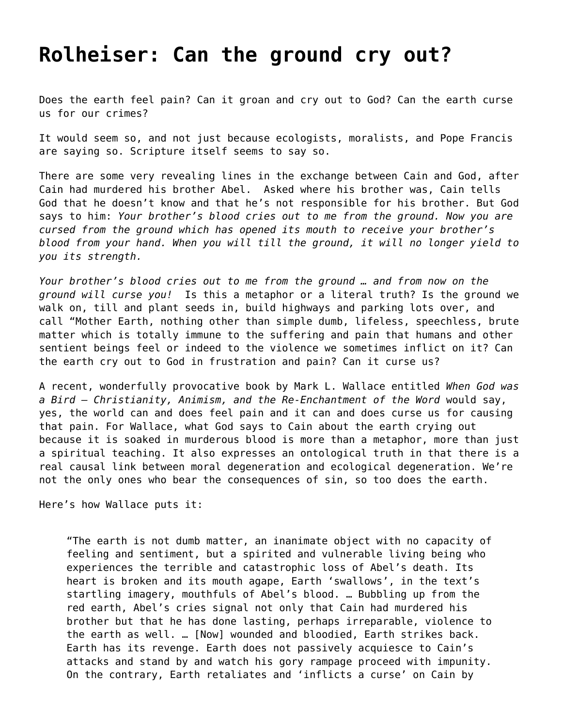## **[Rolheiser: Can the ground cry out?](https://grandinmedia.ca/rolheiser-can-the-ground-cry-out/)**

Does the earth feel pain? Can it groan and cry out to God? Can the earth curse us for our crimes?

It would seem so, and not just because ecologists, moralists, and Pope Francis are saying so. Scripture itself seems to say so.

There are some very revealing lines in the exchange between Cain and God, after Cain had murdered his brother Abel. Asked where his brother was, Cain tells God that he doesn't know and that he's not responsible for his brother. But God says to him: *Your brother's blood cries out to me from the ground. Now you are cursed from the ground which has opened its mouth to receive your brother's blood from your hand. When you will till the ground, it will no longer yield to you its strength.*

*Your brother's blood cries out to me from the ground … and from now on the ground will curse you!* Is this a metaphor or a literal truth? Is the ground we walk on, till and plant seeds in, build highways and parking lots over, and call "Mother Earth, nothing other than simple dumb, lifeless, speechless, brute matter which is totally immune to the suffering and pain that humans and other sentient beings feel or indeed to the violence we sometimes inflict on it? Can the earth cry out to God in frustration and pain? Can it curse us?

A recent, wonderfully provocative book by Mark L. Wallace entitled *When God was a Bird – Christianity, Animism, and the Re-Enchantment of the Word* would say, yes, the world can and does feel pain and it can and does curse us for causing that pain. For Wallace, what God says to Cain about the earth crying out because it is soaked in murderous blood is more than a metaphor, more than just a spiritual teaching. It also expresses an ontological truth in that there is a real causal link between moral degeneration and ecological degeneration. We're not the only ones who bear the consequences of sin, so too does the earth.

Here's how Wallace puts it:

"The earth is not dumb matter, an inanimate object with no capacity of feeling and sentiment, but a spirited and vulnerable living being who experiences the terrible and catastrophic loss of Abel's death. Its heart is broken and its mouth agape, Earth 'swallows', in the text's startling imagery, mouthfuls of Abel's blood. … Bubbling up from the red earth, Abel's cries signal not only that Cain had murdered his brother but that he has done lasting, perhaps irreparable, violence to the earth as well. … [Now] wounded and bloodied, Earth strikes back. Earth has its revenge. Earth does not passively acquiesce to Cain's attacks and stand by and watch his gory rampage proceed with impunity. On the contrary, Earth retaliates and 'inflicts a curse' on Cain by